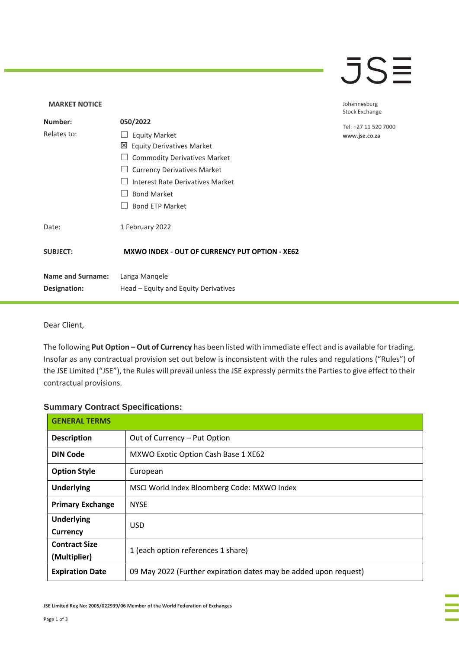## $\overline{\mathsf{J}}\mathsf{S}\overline{\Xi}$

### **MARKET NOTICE** Johannesburg **Stock Exchange Number: 050/2022** Tel: +27 11 520 7000 Relates to: □ Equity Market www.jse.co.za Equity Derivatives Market □ Commodity Derivatives Market □ Currency Derivatives Market ☐ Interest Rate Derivatives Market ☐ Bond Market □ Bond ETP Market Date: 1 February 2022 **SUBJECT: MXWO INDEX - OUT OF CURRENCY PUT OPTION - XE62 Name and Surname:** Langa Manqele **Designation:** Head – Equity and Equity Derivatives

#### Dear Client,

The following **Put Option – Out of Currency** has been listed with immediate effect and is available for trading. Insofar as any contractual provision set out below is inconsistent with the rules and regulations ("Rules") of the JSE Limited ("JSE"), the Rules will prevail unless the JSE expressly permits the Parties to give effect to their contractual provisions.

#### **Summary Contract Specifications:**

| <b>GENERAL TERMS</b>                 |                                                                  |
|--------------------------------------|------------------------------------------------------------------|
| <b>Description</b>                   | Out of Currency - Put Option                                     |
| <b>DIN Code</b>                      | MXWO Exotic Option Cash Base 1 XE62                              |
| <b>Option Style</b>                  | European                                                         |
| <b>Underlying</b>                    | MSCI World Index Bloomberg Code: MXWO Index                      |
| <b>Primary Exchange</b>              | <b>NYSE</b>                                                      |
| <b>Underlying</b><br><b>Currency</b> | <b>USD</b>                                                       |
| <b>Contract Size</b><br>(Multiplier) | 1 (each option references 1 share)                               |
| <b>Expiration Date</b>               | 09 May 2022 (Further expiration dates may be added upon request) |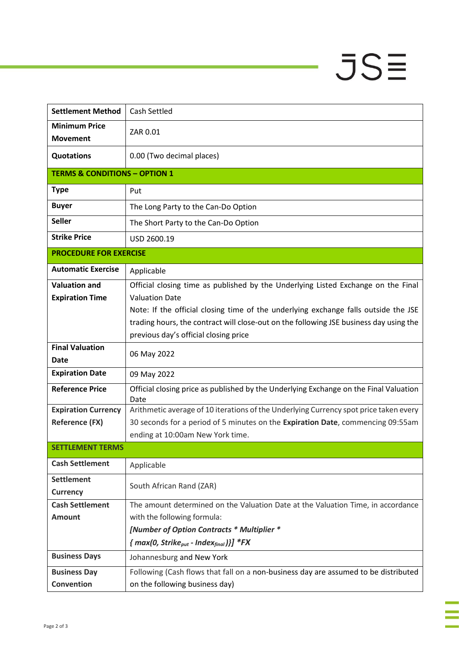# $JSE$

÷

à,

| <b>Settlement Method</b>                 | Cash Settled                                                                                                                    |
|------------------------------------------|---------------------------------------------------------------------------------------------------------------------------------|
| <b>Minimum Price</b><br><b>Movement</b>  | ZAR 0.01                                                                                                                        |
| <b>Quotations</b>                        | 0.00 (Two decimal places)                                                                                                       |
| <b>TERMS &amp; CONDITIONS - OPTION 1</b> |                                                                                                                                 |
| <b>Type</b>                              | Put                                                                                                                             |
| <b>Buyer</b>                             | The Long Party to the Can-Do Option                                                                                             |
| <b>Seller</b>                            | The Short Party to the Can-Do Option                                                                                            |
| <b>Strike Price</b>                      | USD 2600.19                                                                                                                     |
| <b>PROCEDURE FOR EXERCISE</b>            |                                                                                                                                 |
| <b>Automatic Exercise</b>                | Applicable                                                                                                                      |
| <b>Valuation and</b>                     | Official closing time as published by the Underlying Listed Exchange on the Final                                               |
| <b>Expiration Time</b>                   | <b>Valuation Date</b>                                                                                                           |
|                                          | Note: If the official closing time of the underlying exchange falls outside the JSE                                             |
|                                          | trading hours, the contract will close-out on the following JSE business day using the<br>previous day's official closing price |
| <b>Final Valuation</b>                   |                                                                                                                                 |
| <b>Date</b>                              | 06 May 2022                                                                                                                     |
| <b>Expiration Date</b>                   | 09 May 2022                                                                                                                     |
| <b>Reference Price</b>                   | Official closing price as published by the Underlying Exchange on the Final Valuation<br>Date                                   |
| <b>Expiration Currency</b>               | Arithmetic average of 10 iterations of the Underlying Currency spot price taken every                                           |
| <b>Reference (FX)</b>                    | 30 seconds for a period of 5 minutes on the Expiration Date, commencing 09:55am<br>ending at 10:00am New York time.             |
| <b>SETTLEMENT TERMS</b>                  |                                                                                                                                 |
| <b>Cash Settlement</b>                   | Applicable                                                                                                                      |
| <b>Settlement</b>                        |                                                                                                                                 |
| <b>Currency</b>                          | South African Rand (ZAR)                                                                                                        |
| <b>Cash Settlement</b>                   | The amount determined on the Valuation Date at the Valuation Time, in accordance                                                |
| <b>Amount</b>                            | with the following formula:                                                                                                     |
|                                          | [Number of Option Contracts * Multiplier *                                                                                      |
|                                          | ${mag(0, Strike_{put} - Index_{final})}$ *FX                                                                                    |
| <b>Business Days</b>                     | Johannesburg and New York                                                                                                       |
| <b>Business Day</b>                      | Following (Cash flows that fall on a non-business day are assumed to be distributed                                             |
| <b>Convention</b>                        | on the following business day)                                                                                                  |